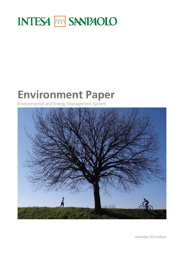# **INTESA MM SANPAOLO**

# **Environment Paper**

Environmental and Energy Management System



December 2013 edition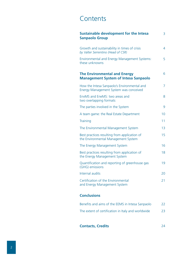# **Contents**

| <b>Sustainable development for the Intesa</b><br><b>Sanpaolo Group</b>                | 3  |
|---------------------------------------------------------------------------------------|----|
| Growth and sustainability in times of crisis<br>by Valter Serrentino (Head of CSR)    | 4  |
| <b>Environmental and Energy Management Systems:</b><br>these unknowns                 | 5  |
| <b>The Environmental and Energy</b><br><b>Management System of Intesa Sanpaolo</b>    | 6  |
| How the Intesa Sanpaolo's Environmental and<br>Energy Management System was conceived | 7  |
| EnvMS and EneMS: two areas and<br>two overlapping formats                             | 8  |
| The parties involved in the System                                                    | 9  |
| A team game: the Real Estate Department                                               | 10 |
| Training                                                                              | 11 |
| The Environmental Management System                                                   | 13 |
| Best practices resulting from application of<br>the Environmental Management System   | 15 |
| The Energy Management System                                                          | 16 |
| Best practices resulting from application of<br>the Energy Management System          | 18 |
| Quantification and reporting of greenhouse gas<br>(GHG) emissions                     | 19 |
| Internal audits                                                                       | 20 |
| Certification of the Environmental<br>and Energy Management System                    | 21 |
| <b>Conclusions</b>                                                                    |    |

| Benefits and aims of the EEMS in Intesa Sanpaolo   | 22 |
|----------------------------------------------------|----|
| The extent of certification in Italy and worldwide | 23 |

**Contacts, Credits** 24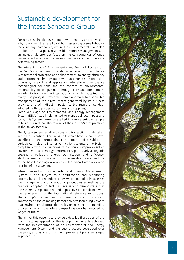# Sustainable development for the Intesa Sanpaolo Group

Pursuing sustainable development with tenacity and conviction is by now a need that is felt by all businesses - big or small - but for the very large companies, where the environmental "variable" can be a critical aspect, responsible resource management and an increasingly stronger focus on the consequences of one's business activities on the surrounding environment become determining factors.

The Intesa Sanpaolo's Environmental and Energy Policy sets out the Bank's commitment to sustainable growth in compliance with territorial protection and enhancement, to energy efficiency and performance improvement with an emphasis on reduction of waste, research and application into efficient, innovative technological solutions and the concept of environmental responsibility to be pursued through constant commitment in order to translate the international principles adopted into reality. The policy illustrates the Bank's approach to responsible management of the direct impact generated by its business activities and of indirect impact, i.e. the result of conduct adopted by third parties (customers and suppliers).

Some years ago an Environmental and Energy Management System (EEMS) was implemented to manage direct impact and today this System, currently applied in a representative sample of business units, constitutes one of the industry's best practices in the Italian scenario.

The System supervises all activities and transactions undertaken in the aforementioned business units which have, or could have, an effect on the surrounding environment and is subject to periodic controls and internal verifications to ensure the System compliance with the principles of continuous improvement of environmental and energy performance, particularly as regards preventing pollution, energy optimisation and efficiency, electrical energy procurement from renewable sources and use of the best technology available on the market with a view to cost-benefit assessment.

Intesa Sanpaolo's Environmental and Energy Management System is also subject to a certification and monitoring process by an independent body which periodically assesses the management and operational procedures as well as the practices adopted. In fact it's necessary to demonstrate that the System is implemented and kept active in compliance with the requirements of the international reference regulations. The Group's commitment is therefore one of constant improvement and of making its stakeholders increasingly aware that environmental protection relies on reasoned, demanding choices on which the Intesa Sanpaolo Group has decided to wager its future.

The aim of this paper is to provide a detailed illustration of the main practices applied by the Group, the benefits achieved from the implementation of an Environmental and Energy Management System and the best practices developed over the years, also as a result of the improvement plans envisaged in procedures.

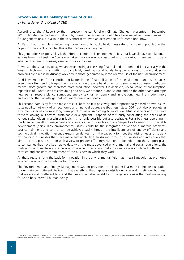# **Growth and sustainability in times of crisis**

#### *by Valter Serrentino (Head of CSR)*

According to the V Report by the Intergovernmental Panel on Climate Change<sup>1</sup>, presented in September 2013, climate change brought about by human behaviour will definitely have negative consequences for future generations, but also in the very short term, with an acceleration unforeseen until now.

An Earth that is much less welcoming, more harmful to public health, less safe for a growing population that hopes for the exact opposite. This is the scenario looming over us.

This generation's responsibility is therefore to combat this phenomenon. It is a task we all have to take on, at various levels: not just the "decision-makers" (or governing class), but also the various members of society, whether they are businesses, associations or individuals.

To worsen the situation, today we are experiencing a persisting financial and economic crisis - especially in the West - which even risks splitting or completely breaking social bonds. In growing areas of the world, social problems are almost inextricably woven with those generated by inconsiderate use of the natural environment.

A crisis where one of the contributing factors is the "financialisation" of the environment and its resources, even if we often tend to forget it. A crisis which on the one hand drives us to seek a way out using traditional means (more growth and therefore more production, however it is achieved; revitalisation of consumption, regardless of "what" we are consuming and how we produce it, and so on), and on the other hand attempts new paths: responsible consumption, energy savings, efficiency and innovation, new life models more anchored to the knowledge that natural resources are scarce.

This second path is by far the most difficult, because it is positively and propositionally based on two issues: sustainability not only of an economic and financial aggregate (business, state GDP) but also of society as a whole, especially from a long term point of view. According to more watchful observers and the more forward-looking businesses, sustainable development - capable of virtuously conciliating the needs of its various stakeholders in a win-win logic - is not only possible but also desirable. For a business operating in the financial, wealth management and insurance sector - such as Intesa Sanpaolo - focusing on sustainable development (particularly environmental issues) could be the integrated answer to numerous problems: cost containment and control can be achieved easily through the intelligent use of energy efficiency and technological innovation; revenue expansion derives from the capacity to meet the arising needs of society, by financing businesses that have made sustainability their driving force, or businesses and individuals that aim to correct past distortion with a view to greater efficiency; risk control benefits from the support given to companies that have kept up to date with the most advanced environmental and social regulations; the motivation and wellbeing of a person grow when they know that individual care is combined with serious, certified and constant commitment of the business in which they work.

All these reasons form the basis for innovation in the environmental field that Intesa Sanpaolo has promoted in recent years and will continue to promote.

The Environmental and Energy Management System presented in this paper is a more complete illustration of our main commitment: believing that everything that happens outside our own walls is still our business, that we are not indifferent to it and that leaving a better world to future generations is the most noble way for us to be successful human beings.

1. The IPCC (Intergovernmental Panel on Climate Change) is the scientific forum formed in 1988 with the aim of studying global warming by two United Nations bodies: the World Meteorological<br>Organization (WMO) and the Unite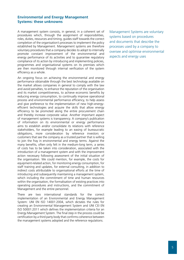### **Environmental and Energy Management Systems: these unknowns**

A management system consists, in general, in a coherent set of procedures which, through the assignment of responsibilities, roles, duties, resources and timing, guides staff towards the correct completion of the organisation's processes to implement the policy established by Management. Management systems are therefore voluntary procedures that a company decides to adopt to internally promote constant improvement of the environmental and energy performance of its activities and to guarantee regulatory compliance of its action by introducing and implementing policies, programmes and organisational systems on its premises which are then monitored through internal verification of the system efficiency as a whole.

An ongoing focus on achieving the environmental and energy performance obtainable through the best technology available on the market allows companies in general to comply with the law and avoid penalties, to enhance the reputation of the organisation and its market competitiveness, to achieve economic benefits by reducing energy consumption, to continually improve operational process and environmental performance efficiency, to help assess and give preference to the implementation of new high-energyefficient technologies and acquire the skills that allow energy efficiency to be promoted along the entire procurement chain and thereby increase corporate value. Another important aspect of management systems is transparency. A company's publication of information on its environmental or energy performance aims to establish and/or consolidate its relations with reference stakeholders, for example leading to an easing of bureaucratic obligations, more consideration by reference investors or customers that see the company as a trusted partner that is willing to join the fray in environmental and energy terms. Against the many benefits, often only felt in the medium-long term, a series of costs has to be taken into consideration, associated with the introduction of a management system and with the improvement action necessary following assessment of the initial situation of the organisation. We could mention, for example, the costs for equipment-related action, for monitoring energy consumption, for staff training and updates, for external consulting, in addition to indirect costs attributable to organisational efforts at the time of introducing and subsequently maintaining a management system, which including the commitment of time and human resources within the organisation, the formalisation of existing practices into operating procedures and instructions, and the commitment of Management and the entire personnel.

There are two international standards for the correct implementation of an Environmental and Energy Management System: UNI EN ISO 14001:2004, which dictates the rules for creating an Environmental Management System and UNI CEI EN ISO 50001:2011 which defines the implementation criteria for an Energy Management System. The final step in the process could be certification by a third party body that confirms coherence between the management systems adopted and the reference regulations.

Management Systems are voluntary systems based on procedures and documents that describe the processes used by a company to oversee and optimise environmental aspects and energy uses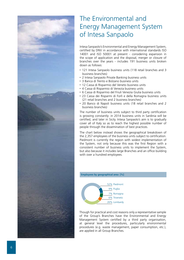

# The Environmental and Energy Management System of Intesa Sanpaolo

Intesa Sanpaolo's Environmental and Energy Management System, certified by DNV in accordance with international standards ISO 14001 and ISO 50001 at present - considering expansion in the scope of application and the disposal, merger or closure of branches over the years - includes 191 business units broken down as follows:

- 121 Intesa Sanpaolo business units (118 retail branches and 3 business branches)
- 2 Intesa Sanpaolo Private Banking business units
- 3 Banca di Trento e Bolzano business units
- 12 Cassa di Risparmio del Veneto business units
- 4 Cassa di Risparmio di Venezia business units
- 6 Cassa di Risparmio del Friuli Venezia Giulia business units
- 23 Cassa dei Risparmi di Forlì e della Romagna business units (21 retail branches and 2 business branches)
- 20 Banco di Napoli business units (18 retail branches and 2 business branches)

The number of business units subject to third party certification is growing constantly: in 2014 business units in Sardinia will be certified, and later in Sicily. Intesa Sanpaolo's aim is to gradually cover all of Italy so as to reach the highest possible number of people through the dissemination of best practices.

The chart below instead shows the geographical breakdown of the 2,357 employees of the business units subject to certification. Piedmont is currently the region with widest implementation of the System, not only because this was the first Region with a consistent number of business units to implement the System, but also because it includes large Branches and an office building with over a hundred employees.

#### **Employees by geographical area [%]**



Though for practical and cost reasons only a representative sample of the Group's Branches have the Environmental and Energy Management System certified by a third party organisation, at general level the procedures, particularly environmental procedures (e.g. waste management, paper consumption, etc.), are applied in all Group Branches.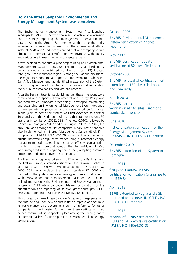### **How the Intesa Sanpaolo Environmental and Energy Management System was conceived**

The Environmental Management System was first launched in Sanpaolo IMI in 2005 with the main objective of overseeing and constantly improving the management of environmental aspects within the Group. Furthermore, at that time the entity assessing companies for inclusion on the international ethical index "FTSE4Good" had recommended that our company should obtain this international certification, synonymous with quality and seriousness in managing environmental aspects.

It was decided to conduct a pilot project using an Environmental Management System (EnvMS), certified by a third party organisation, at a restricted number of sites (72) located throughout the Piedmont region. Among the various provisions, the regulations contemplate "gradual improvement", which the Bank's Top Management had identified in extension of the System to a growing number of branches, also with a view to disseminating the culture of sustainability and virtuous practices.

After the Banca Intesa-Sanpaolo IMI merger, these intentions were confirmed and a specific Environmental and Energy Policy was approved which, amongst other things, envisaged maintaining and expanding an Environmental Management System designed to oversee internal processes and environmental performance. In the years to come the System was first extended to another 10 branches in the Piedmont region and then to new regions: 50 branches in Lombardy (2008), 29 in Triveneto (2010), followed by 22 sites in Romagna (2010) and 19 in Puglia (2012). In 2010, the only Bank and among the first companies in Italy, Intesa Sanpaolo also implemented an Energy Management System (EneMS) in compliance to UNI CEI EN 16001:2009 standard, which aimed to pursue improved energy performance using a systematic energy management model based, in particular, on effective consumption monitoring. It was from that point on that the EnvMS and EneMS were integrated into a single System (EEMS) adopting common procedures and applied over the same area.

Another major step was taken in 2012 when the Bank, among the first in Europe, obtained certification for its own EneMS in accordance with the new international standard UNI CEI EN ISO 50001:2011, which replaced the previous standard ISO 16001 and focused on the goals of improving energy efficiency conditions. With a view to continuous improvement, based on the same area of implementation as the Environmental and Energy Management System, in 2013 Intesa Sanpaolo obtained certification for the quantification and reporting of its own greenhouse gas (GHG) emissions according to UNI EN ISO 14064:2012 standard.

This process confirms Intesa Sanpaolo's desire to keep pace with the time, seizing upon new opportunities to improve and optimise its performance, also becoming a point of reference for other companies in the industry. Furthermore, these certifications also helped confirm Intesa Sanpaolo's place among the leading banks at international level for its emphasis on environmental and energy saving issues.

### October 2005

**EnvMS**: Environmental Management System certification of 72 sites (Piedmont)

#### May 2007

**EnvMS**: certification update verification at 82 sites (Piedmont)

#### October 2008

**EnvMS**: renewal of certification with extension to 132 sites (Piedmont and Lombardy)

#### March 2010

**EnvMS**: certification update verification at 161 sites (Piedmont, Lombardy, Triveneto

### June 2010

first certification verification for the Energy Management System (**EneMS** – UNI CEI EN 16001:2009)

#### December 2010

**EnvMS**: extension of the System to Romagna

#### June 2011

first joint **EnvMS-EneMS** 

certification verification (giving rise to the **EEMS**)

#### April 2012

**EEMS** extended to Puglia and SGE upgraded to the new UNI CEI EN ISO 50001:2011 standard

#### June 2013

renewal of **EEMS** certification (195 B.U.) and GHG emissions certification (UNI EN ISO 14064:2012)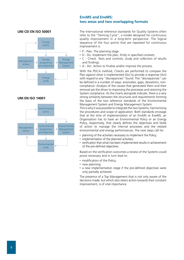# **EnvMS and EneMS: two areas and two overlapping formats**

#### **UNI CEI EN ISO 50001**



#### **UNI EN ISO 14001**



The international reference standards for Quality Systems often refer to the "Deming Cycle", a model designed for continuous quality improvement in a long-term perspective. The logical sequence of the four points that are repeated for continuous improvement is:

- P Plan. The planning stage.
- D Do. Implement the plan, firstly in specified contexts.
- C Check. Tests and controls, study and collection of results and findings.
- A Act. Action to finalise and/or improve the process.

With the PDCA method, Checks are performed to compare the Plan against what is implemented (Do) to provide a response (Act) with regard to any "discrepancies" found. The "discrepancies" can be defined in a number of ways: anomalies, gaps, deviations, noncompliance. Analysis of the causes that generated them and their removal are the driver to improving the processes and restoring the System compliance. As the charts alongside indicate, there is a very strong similarity between the structures and requirements forming the basis of the two reference standards of the Environmental Management System and Energy Management System.

This is why it was possible to integrate the two Systems, harmonising the procedures and scope of application. Both standards envisage that at the time of implementation of an EnvMS or EneMS, an Organisation has to have an Environmental Policy or an Energy Policy, respectively, that clearly defines the objectives and fields of action to manage the internal processes and the related environmental and energy performances. The next steps call for:

- planning of the activities necessary to implement the Policy;
- implementation of the planned activities;
- verification that what has been implemented results in achievement of the pre-defined objectives.

Based on the verification outcomes a review of the Systems could prove necessary and in turn lead to:

- modification of the Policy;
- new planning;
- a new implementation stage if the pre-defined objectives were only partially achieved.

The presence of a Top Management that is not only aware of the decisions made, but which also steers action towards their constant improvement, is of vital importance.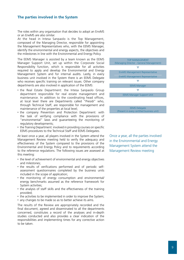### **The parties involved in the System**

The roles within any organisation that decides to adopt an EnvMS or an EneMS are also similar.

At the head in Intesa Sanpaolo is the Top Management, composed of the Managing Director, responsible for appointing the Management Representatives who, with the EEMS Manager, identify the environmental and energy aspects, the objectives and the milestones in line with the Environmental and Energy Policy.

The EEMS Manager is assisted by a team known as the EEMS Manager Support Unit, set up within the Corporate Social Responsibility function, which is responsible for all activities required to apply and develop the Environmental and Energy Management System and for internal audits. Lastly, in every business unit involved in the System there is an EEMS Delegate who receives specific training on relevant issues. Other company departments are also involved in application of the EEMS:

- the Real Estate Department: the Intesa Sanpaolo Group department responsible for real estate management and maintenance. In addition to the coordinating head offices, at local level there are Departments called "Presidi" who, through Technical Staff, are responsible for management and maintenance of the properties at local level;
- the company Prevention and Protection Department: with the task of verifying compliance with the provisions of "environmental" laws and guaranteeing the monitoring of regulatory developments:
- the Training Department: involved in providing courses on specific EEMS procedures to the Technical Staff and EEMS Delegates.

At least once a year, all players involved in the System attend the Management Review meeting held to verify the adequacy and effectiveness of the System compared to the provisions of the Environmental and Energy Policy and to requirements according to the reference regulations. The following issues are assessed at this meeting:

- the level of achievement of environmental and energy objectives and milestones;
- the results of verifications performed and of periodic selfassessment questionnaires completed by the business units included in the scope of application;
- the monitoring of energy consumption and environmental/ energy benchmarks assumed as the reference framework for System activities;
- the analysis of staff skills and the effectiveness of the training provided;
- the activities to be implemented in order to improve the System;
- any changes to be made so as to better achieve its aims.

The results of the Review are appropriately recorded and the final document, agreed and disseminated to all the departments concerned, constitutes a record of the analyses and in-depth studies conducted and also provides a clear indication of the responsibilities and implementing times for any corrective action to be taken.



(Present in every certified business unit)

Once a year, all the parties involved in the Environmental and Energy Management System attend the Management Review meeting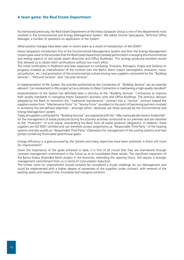# **A team game: the Real Estate Department**

As mentioned previously, the Real Estate Department of the Intesa Sanpaolo Group is one of the departments most involved in the Environmental and Energy Management System. We asked Simone Sprecapane, Technical Office Manager, a number of questions on application of the System.

#### *What positive changes have been seen in recent years as a result of introduction of the EEMS?*

Intesa Sanpaolo's introduction first of the Environmental Management System and then the Energy Management System gave value to the activities that the Real Estate Department already performed in managing the environmental and energy aspects of real estate assets (Branches and Office Buildings). This synergy produced excellent results that allowed us to obtain both certifications without too much effort.

The initial certification in Piedmont and later expansion to Lombardy, Triveneto, Romagna, Puglia and Sardinia (in progress) enabled an intensification of the controls over the Bank's direct impact (atmospheric emissions, noise, soil pollution, etc.) and promotion of the environmental culture among new suppliers contracted for the "Building Services", "Personal Services" and "Security Services".

#### *In implementation of the System, the activities performed by the Contractors of "Building Services" are an essential element. Can involvement in this project act as a stimulus to these Contractors in maintaining a high quality standard?*

Implementation of the System has definitely been a stimulus to the "Building Services" Contractors to improve their quality standards in managing Intesa Sanpaolo's business units and Office Buildings. The previous decision adopted by the Bank to transform the "traditional maintenance" contract into a "Service" contract helped the suppliers evolve from "Maintenance Firms" to "Service Firms" providers to the point of becoming partners involved in achieving the pre-defined objectives - amongst which, obviously, are those pursued by the Environmental and Energy Management System.

Today all suppliers contracted for "Building Services" are registered with the "Albo nazionale dei Gestori Ambientali" for the management of waste produced during the business activities conducted at our premises and are classified as the "Producers" of such waste, exonerating the Bank from all waste producer obligations. In addition, these suppliers are ISO 9001 certified and can therefore accept assignments as "Responsible Third Party" of the heating systems and also qualify as "Responsible Third Party" (Operators) for management of the cooling systems and heat pumps containing fluorinated greenhouse gases.

#### *Energy efficiency is a goal pursued by the System and many objectives have been achieved. Is there still room for improvement?*

Given the importance of the goals achieved to date, it is first of all crucial that they are maintained through constant management commitment in the future so as to consolidate these results. The significant expansion of the Banca Estesa (Extended Bank) project in the branches, extending the opening hours, will require a stronger management commitment from us in terms of consumption reduction.

The further room for improvement should certainly be considered a tough challenge for our Management and could be implemented with a higher degree of awareness of the suppliers under contract, with renewal of the existing assets and research into innovative technological solutions.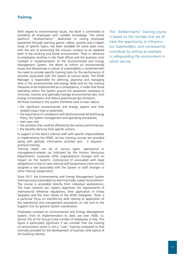# **Training**

With regard to environmental issues, the Bank is committed to providing all employees with suitable knowledge. The online platform "Ambientiamo", dedicated to raising employee awareness through learning games, videos, quizzes and in-depth study of specific topics, has been available for some years now, with the aim of promoting the virtuous conduct to be adopted both in the working and home environments. Then in reference to employees working in the head offices and the business units involved in implementation of the Environmental and Energy Management System, the desire to inform on environmental issues and disseminate a culture of sustainability is combined with the need to provide specific training tools for the performance of activities associated with the System at various levels. The EEMS Manager is responsible for defining, planning and managing skills in the environmental and energy fields and for the training measures to be implemented as a consequence, in order that those operating within the System acquire the awareness necessary to minimise, monitor and optimally manage environmental risks, limit energy consumption and reduce greenhouse gas emissions. All those involved in the System therefore have to learn about:

- the significant environmental and energy aspects and their related impact (real or potential);
- the importance of compliance with the Environmental and Energy Policy, the System management and operating procedures;
- their own role:
- the activities that could be affected by the various performances;
- the benefits deriving from specific actions.

In support of the Bank's internal staff with specific responsibilities in implementing the EEMS, ad hoc training courses are provided along with periodic information activities and - if required practical training.

Training needs can be of various types: operational or management-related (as indicated by the Human Resources Department), corporate (after organisational changes with an impact on the System), institutional (if associated with legal obligations) or due to new internal staff assignments (new recruits assigned a role associated with the System or staff changes or other internal assignment).

Since 2011 the Environmental and Energy Management System training course is provided in e-learning mode, subject to enrolment. The course is accessible directly from individual workstations. The main contents are: System objectives, the requirements of international reference regulations, their application in Intesa Sanpaolo and the main duties of the EEMS Delegates. There is a particular focus on transferring skills relating to application of the operational and management procedures on site and on the Support Unit for general System coordination.

Employees involved on Environmental and Energy Management System, from its implementation to date, are over 1000, i.e. almost 2% of the Group's total number of employees in Italy. This figure is particularly significant if we consider that the training on environment issues is not a "core" training compared to that normally provided for the development of business skills typical of the banking industry.

The "Ambientiamo" training course is based on the concept that we all have the opportunity to influence our stakeholders, and consequently contribute by setting an example in safeguarding the environment in which we live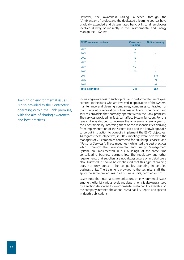However, the awareness raising launched through the "Ambientiamo" project and the dedicated e-learning courses have gradually extended and disseminated basic skills to all employees involved directly or indirectly in the Environmental and Energy Management System.

| <b>EEMS</b> course attendees | <b>Classroom</b><br>training | <b>Online training</b> |
|------------------------------|------------------------------|------------------------|
| 2005                         | 353                          | ۰                      |
| 2006                         | 52                           |                        |
| 2007                         | 49                           |                        |
| 2008                         | 89                           |                        |
| 2009                         | 158                          |                        |
| 2010                         | 40                           | ۰                      |
| 2011                         |                              | 110                    |
| 2012                         |                              | 74                     |
| 2013                         |                              | 99                     |
| <b>Total attendees</b>       | 741                          | 283                    |

Training on environmental issues is also provided to the Contractors operating within the Bank premises, with the aim of sharing awareness and best practices

Increasing awareness to such topics is also performed for employees external to the Bank who are involved in application of the System: maintenance and cleaning companies, companies contracted for the fitting out or renovation of business units and other goods and services providers that normally operate within the Bank premises. The services provided, in fact, can affect System function. For this reason it was decided to increase the awareness of employees of the Contractors by informing them of the responsibilities deriving from implementation of the System itself and the knowledge/skills to be put into action to correctly implement the EEMS objectives. As regards these objectives, in 2012 meetings were held with the managers of 28 companies contracted for "Building Services" and "Personal Services". These meetings highlighted the best practices which, through the Environmental and Energy Management System, are implemented in our buildings, at the same time consolidating business partnerships. The regulatory and other requirements that suppliers are not always aware of in detail were also illustrated. It should be emphasised that this type of training does not only concern the companies operating in certified business units. The training is provided to the technical staff that apply the same procedures in all business units, certified or not.

Lastly, note that internal communications on environmental issues among the Bank's various levels and departments is also guaranteed by a section dedicated to environmental sustainability available on the company intranet, the annual Sustainability Report and specific in-depth publications.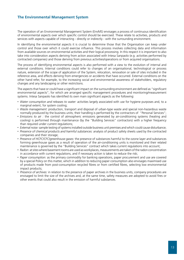# **The Environmental Management System**

The operation of an Environmental Management System (EnvMS) envisages a process of continuous identification of environmental aspects over which specific control should be exercised. These relate to activities, products and services with aspects capable of interacting - directly or indirectly - with the surrounding environment.

In identifying the environmental aspects it is crucial to determine those that the Organisation can keep under control and those over which it could exercise influence. This process involves collecting data and information from available sources on environmental activities and their logical processing. In this respect it is important to also take into consideration aspects deriving from action associated with Intesa Sanpaolo (e.g. activities performed by contracted companies) and those deriving from previous activities/operations or from acquired organisations.

The process of identifying environmental aspects is also performed with a view to the evolution of internal and external conditions. Internal conditions could refer to changes of an organisational, technological or process nature, extension of the scope of application of the System, relocation, renovation or sale of sites included in the reference area, and effects deriving from emergencies or accidents that have occurred. External conditions on the other hand refer, for example, to the increasing social and environmental awareness of stakeholders, regulatory changes and any landscaping or other restrictions.

The aspects that have or could have a significant impact on the surrounding environment are defined as "significant environmental aspects", for which are arranged specific management procedures and monitoring/measurement systems. Intesa Sanpaolo has identified its own main significant aspects as the following:

- *Water consumption and releases to water:* activities largely associated with use for hygiene purposes and, to a marginal extent, for system cooling;
- *Waste management:* production, transport and disposal of urban-type waste and special non-hazardous waste normally produced by the business units; their handling is performed by the contractors of "Personal Services";
- *Emissions to air :* the control of atmospheric emissions generated by air-conditioning systems (heating and cooling) is performed through maintenance (by the "Building Services" contractors) with a higher frequency than required under current regulations;
- *External noise:* sample testing of systems installed outside business unit premises and which could cause disturbance;
- *Presence of chemical products and harmful substances:* analysis of product safety sheets used by the contracted companies and their storage;
- *Presence of HCFC/CFC/greenhouse gases:* the presence of substances harmful to the ozone layer and substances forming greenhouse gases as a result of operation of the air-conditioning units is monitored and their related maintenance is governed by the "Building Services" contract which takes current regulations into account;
- *Radon:* at sites where basement rooms are used as workplaces, measurements are taken of the radon concentration in accordance with current regulations, and if necessary action is taken to reduce the risk;
- *Paper consumption:* as the primary commodity for banking operations, paper procurement and use are covered by a special Policy on this matter, which in addition to reducing paper consumption also envisages maximised use of products made from post-consumption recycled fibres or from certified fibres, selecting low environmental impact products;
- *Presence of archives:* in relation to the presence of paper archives in the business units, company procedures are envisaged to limit the size of the archives and, at the same time, safety measures are adopted to avoid fires or other events that could also result in the emission of harmful substances.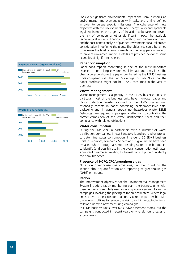



For every significant environmental aspect the Bank prepares an environmental improvement plan with tasks and timing defined in order to pursue specific milestones. The coherence of these objectives with the Environmental and Energy Policy and applicable legal requirements, the urgency of the action to be taken to prevent the risk of pollution or other significant impact, the available technological options, financial, operating and commercial needs and the cost-benefit analysis of planned investments are all taken into consideration in defining the plans. The objectives could be aimed to increase the level of environmental and energy performance or to prevent unwanted impact. Details are provided below of some examples of significant aspects.

#### **Paper consumption**

Paper consumption monitoring is one of the most important aspects of controlling environmental impact and emissions. The chart alongside shows the paper purchased by the EEMS business units compared with the Bank's average for Italy. Note that the paper purchased might not be 100% consumed in the year of purchase.

#### **Waste management**

Waste management is a priority in the EEMS business units. In particular, most of the business units have municipal paper and plastic collection. Waste produced by the EEMS business unit essentially consists in paper containing personal/sensitive data, packaging and, in general, special non-hazardous waste. EEMS Delegates are required to pay special attention to controlling the correct completion of the Waste Identification Sheet and their compliance with related obligations.

#### **Water consumption**

During the last year, in partnership with a number of water distribution companies, Intesa Sanpaolo launched a pilot project to determine water consumption. In around 50 EEMS business units in Piedmont, Lombardy, Veneto and Puglia, meters have been installed which through a remote reading system can be queried to identify (and possibly use in the overall consumption estimates) significant parameters relating to the real consumption of water by the bank branches.

#### **Presence of HCFC/CFC/greenhouse gas**

Notes on greenhouse gas emissions, can be found on the section about quantification and reporting of greenhouse gas (GHG) emissions.

#### **Radon**

The improvement objectives for the Environmental Management System include a radon monitoring plan: the business units with basement rooms regularly used as workspace are subject to annual campaigns involving the placing of radon dosimeters. Where legal limits prove to be exceeded, action is taken in partnership with the relevant offices to reduce the risk to within acceptable limits, followed up with new measuring campaigns.

In EEMS business units, over 60% have basement rooms, but the campaigns conducted in recent years only rarely found cases of excess levels.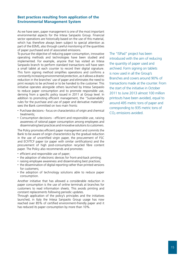# **Best practices resulting from application of the Environmental Management System**

As we have seen, paper management is one of the most important environmental aspects for the Intesa Sanpaolo Group. Financial sector operations are historically based on the use of this material, which has therefore always been subject to special attention as part of the EEMS, also through careful monitoring of the quantities of paper purchased and of associated emissions.

To pursue the objective of reducing paper consumption, innovative operating methods and technologies have been studied and implemented. For example, anyone that has visited an Intesa Sanpaolo branch to perform standard transactions will have seen a small tablet at each counter to record their digital signature. This form signing method simplifies operations and confirms a constantly increasing environmental protection, as it allows a drastic reduction in the branches' use of paper and eliminates the need to print receipts to be archived or to be handed to the customer. This initiative operates alongside others launched by Intesa Sanpaolo to reduce paper consumption and to promote responsible use, deriving from a specific policy issued in 2011 at Group level. In addition to promoting efficient management, the "Sustainability rules for the purchase and use of paper and derivative materials" sees the Bank committed on two main fronts:

- Purchase decisions focus on characteristics of origin and chemical treatments;
- Consumption decisions efficient and responsible use, raising awareness of rational paper consumption among employees and disseminating best practices and innovative solutions to customers.

The Policy promotes efficient paper management and commits the Bank to be aware of origin characteristics by the gradual reduction in the use of uncertified virgin paper, the procurement of FSC and ECF/TCF paper (or paper with similar certifications) and the procurement of high post-consumption recycled fibre content paper. The Policy also recommends and promotes:

- efficient and responsible use of paper;
- the adoption of electronic devices for front-and-back printing;
- raising employee awareness and disseminating best practices;
- the dissemination of digital reporting rather than printed versions for customers;
- the adoption of technology solutions able to reduce paper consumption.

Another initiative that has allowed a considerable reduction in paper consumption is the use of online terminals at branches for customers to read information sheets. This avoids printing and constant replacements following periodic updates.

Through application of the policy's principles and the initiatives launched, in Italy the Intesa Sanpaolo Group usage has now reached over 85% of certified environment-friendly paper and it has reduced its paper consumption by more than 10%.

The "ISPad" project has been introduced with the aim of reducing the quantity of paper used and archived. Form signing on tablets is now used in all the Group's Branches and covers around 90% of transactions made at the counter. From the start of the initiative in October 2011 to June 2013 almost 100 million printouts have been avoided, equal to around 495 metric tons of paper and corresponding to 935 metric tons of CO2 emissions avoided.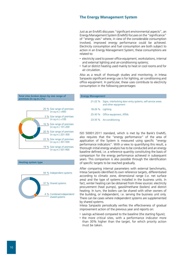### **The Energy Management System**

Just as an EnvMS discusses "significant environmental aspects", an Energy Management System (EneMS) focuses on the "significance" of "energy uses" where, in view of the considerable consumption involved, improved energy performance could be achieved. Electricity consumption and fuel consumption are both subject to action in an Energy Management System; these consumptions are related to:

- electricity used to power office equipment, workstations, internal and external lighting and air-conditioning systems;
- fuel or district heating used mainly to heat or cool rooms and for air circulation.

Also as a result of thorough studies and monitoring, in Intesa Sanpaolo significant energy use is for lighting, air conditioning and office equipment. In particular, these uses contribute to electricity consumption in the following percentages:

# **Energy Management**

21-22 % Signs, interlocking door entry systems, self-service areas and other equipment 18-26 % Lighting 25-30 % Office equipment, ATMs 23-35 % Air-conditioning

ISO 50001:2011 standard, which is met by the Bank's EneMS, also requires that the "energy performance" of the area of application of the System is measured using specific "energy performance indicators". With a view to quantifying this result, a thorough initial energy analysis has to be conducted and an energy baseline defined, i.e. a reference quantity constituting the basis of comparison for the energy performance achieved in subsequent years. This comparison is also possible through the identification of specific targets to be reached gradually.

After comparing internal parameters with external benchmarks, Intesa Sanpaolo identified its own reference targets, differentiated according to climatic zone, dimensional range (i.e. net surface area) and the type of systems installed in the business units. In fact, winter heating can be obtained from three sources: electricity procurement (heat pumps), gasoil/methane (boilers) and district heating. In turn, the boilers can be shared with other owners of the building, or independent, i.e. serving the business unit only. There can be cases where independent systems are supplemented by shared systems.

Intesa Sanpaolo periodically verifies the effectiveness of gradual improvement action of the previous year and reports on:

- savings achieved compared to the baseline (the starting figure);
- the more critical sites, with a performance indicator more than 30% higher than the target, for which priority action must be taken.

#### **Total sites broken down by size range of premises (in sq.m.) [%]**





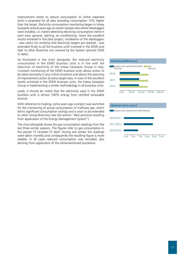Improvement action to reduce consumption to within expected limits is proposed for all sites recording consumption 15% higher than the target. Electricity consumption monitoring began in Intesa Sanpaolo several years ago at certain sample sites where dataloggers were installed, i.e. meters detecting electricity consumption trend in each area: general, lighting, air conditioning. Given the excellent results achieved in the pilot project, installation of the dataloggers - also useful for verifying that electricity targets are reached - was extended firstly to all the business units involved in the EEMS and later to other Branches not covered by the System (around 3500 to date).

As illustrated in the chart alongside, the reduced electricity consumption in the EEMS business units is in line with the reduction of electricity of the Intesa Sanpaolo Group in Italy. Constant monitoring of the EEMS business units allows action to be taken promptly in any critical situations and allows the planning of improvement action at extra-target sites. In view of the excellent results achieved in the EEMS business units, the Intesa Sanpaolo Group is implementing a similar methodology in all business units.

Lastly, it should be noted that the electricity used in the EEMS business units is almost 100% energy from certified renewable sources.

With reference to heating, some years ago a project was launched for the monitoring of actual consumption of methane gas, which led to significant consumption savings and is soon to be extended to other Group Branches (see the section "Best practices resulting from application of the Energy Management System").

The chart alongside shows the gas consumption readings from the last three winter seasons. The figures refer to gas consumption in the period 15 October-15 April. During last winter the readings were taken monthly and consequently the resulting figure is more reliable. In all cases reduced consumption was recorded, also deriving from application of the aforementioned procedure.



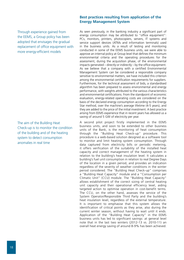# **Best practices resulting from application of the Energy Management System**

Through experience gained from the EEMS, a Group policy has been adopted that envisages the gradual replacement of office equipment with more energy-efficient models

The aim of the Building Heat Check-up is to monitor the condition of the building and of the heating system to detect consumption anomalies in real time

As seen previously, in the banking industry a significant part of energy consumption may be attributed to "office equipment": PCs, monitors, printers, photocopiers, servers, IT systems and service support devices (ATMs and information terminals) used in the business units. As a result of testing and monitoring conducted in some of the EEMS business units, we were able to approve an internal policy at Group level that defines the minimum environmental criteria and the operating procedures for the assessment, during the acquisition phase, of the environmental impacts generated – directly or indirectly – by the office equipment. As we believe that a company with a certified Environmental Management System can be considered a responsible company sensitive to environmental matters, we have included this criterion among the environmental certification requirements for suppliers. Furthermore, for the technical assessment of bids, a standardised algorithm has been prepared to assess environmental and energy performance, with weights attributed to the various characteristics and environmental certifications. From the standpoint of economic evaluation, energy-related operating costs are considered on the basis of the declared energy consumption according to the Energy Star method, over the machine's average lifetime (4-5 years), and they are added to the price of the initial investment. A best practice arising from EEMS experience that in recent years has allowed us a saving of around 5 GW of electricity per year.

A second pilot project firstly implemented in the EEMS business units, and soon to be extended to other business units of the Bank, is the monitoring of heat consumption through the "Building Heat Check-up" procedure. This procedure is a web-based solution designed as a software tool to monitor and limit heating system consumption. Through data captured from electricity bills or periodic metering, it offers verification of the suitability of the installed heat capacity and correct management of the heating system in relation to the building's heat insulation level. It calculates a building's fuel unit consumption in relation to real Degree Days of the location in a given period, and provides an indication regardless of the severity of weather conditions in the winter period considered. The "Building Heat Check-up" comprises a "Building Heat Capacity" module and a "Consumption per Climatic Unit" (CCU) module. The "Building Heat Capacity" allows establishment of the correct sizing of central heating unit capacity and their operational efficiency level, aiding targeted action to optimise operation in cost-benefit terms. The CCU, on the other hand, assesses the service of the System Operator/Responsible Third Party and the building's heat insulation level, regardless of the external temperature. It is important to emphasise that this system allows the identification of critical points as they arise, also during the current winter season, without having to wait until it ends. Application of the "Building Heat Capacity" in the EEMS business units has led to significant savings: at general level note that in the last two winters (2012-13 vs. 2010-11) an overall heat energy saving of around 8-9% has been achieved.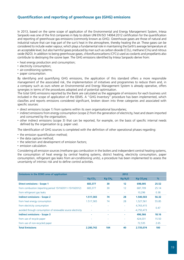# **Quantification and reporting of greenhouse gas (GHG) emissions**

In 2013, based on the same scope of application of the Environmental and Energy Management System, Intesa Sanpaolo was one of the first companies in Italy to obtain UNI EN ISO 14064:2012 certification for the quantification and reporting of greenhouse gas emissions (commonly known as GHG). Greenhouse gases are those of natural and industrial nature that can trap part of the sun's heat in the atmosphere, thereby heating the air. These gases can be considered to include water vapour, which plays a fundamental role in maintaining the Earth's average temperature at an acceptable level, but also harmful gases produced by man such as carbon dioxide (CO<sub>2</sub>), methane (CH<sub>4</sub>) and nitrous oxide (N2O). In addition to being greenhouse gases, chlorofluorocarbons (CFCs) used as coolants and propellants also contribute to destroying the ozone layer. The GHG emissions identified by Intesa Sanpaolo derive from:

- heat energy production and consumption;
- electricity consumption;
- air-conditioning systems;
- paper consumption.

By identifying and quantifying GHG emissions, the application of this standard offers a more responsible management of the associated risk, the implementation of initiatives and programmes to reduce them and, in a company such as ours where an Environmental and Energy Management System is already operative, offers synergies in terms of the procedures adopted and of potential optimisation.

The total GHG emissions reported by the Bank are calculated as the aggregate of emissions for each business unit included in the scope of application of the EEMS. A "GHG Inventory" procedure has been implemented, which classifies and reports emissions considered significant, broken down into three categories and associated with specific sources:

- direct emissions (scope 1) from systems within its own organisational boundaries;
- indirect emissions from energy consumption (scope 2) from the generation of electricity, heat and steam imported and consumed by the organisation;
- other indirect emissions (scope 3) that can be reported, for example, on the basis of specific internal needs defined by the organisation (e.g. paper use).

The identification of GHG sources is completed with the definition of other operational phases regarding:

- the emission quantification method:
- the data capture method;
- the selection and development of emission factors:
- emission calculation.

Considering all emission sources (methane gas combustion in the boilers and independent central heating systems, the consumption of heat energy by central heating systems, district heating, electricity consumption, paper consumption, refrigerant gas leaks from air-conditioning units), a procedure has been implemented to assess the uncertainty of intrinsic risk and to define control activities.

| <b>Emissions in the EEMS area of application</b>            |                   |                      | 2012                |                       |       |
|-------------------------------------------------------------|-------------------|----------------------|---------------------|-----------------------|-------|
|                                                             | KqCO <sub>2</sub> | $Kq$ CH <sub>4</sub> | Kq N <sub>2</sub> O | Kg CO <sub>2</sub> eq | %     |
| <b>Direct emissions - Scope 1</b>                           | 683,377           | 30                   | 12                  | 698,005               | 25.52 |
| from combustion (reporting period 15/10/2011-15/10/2012)    | 683,377           | 30                   | 12                  | 687,709               | 25.14 |
| from refrigerant gas leaks                                  | ۰                 | ٠                    | $\sim$              | 10,296                | 0.38  |
| <b>Indirect emissions - Scope 2</b>                         | 1.517,365         | 74                   | 28                  | 1.540,503             | 56.32 |
| from heat energy consumption                                | 1.517,365         | 74                   | 28                  | 1,527,561             | 55.85 |
| from electricity consumption                                |                   | $\sim$               | ٠                   | 4,763,415             |       |
| avoided through consumption of renewable source electricity |                   | ٠                    | $\sim$              | $-4,750,473$          | 0.47  |
| <b>Indirect emissions - Scope 3</b>                         |                   | ۰                    | ٠                   | 496,566               | 18.16 |
| from use of recycle paper                                   |                   | ۰                    |                     | 424,031               | 15.50 |
| from use of non-recycled paper                              |                   | ٠                    | ٠                   | 72,535                | 2.65  |
| <b>Total Emissions</b>                                      | 2.200.742         | 104                  | 40                  | 2.735.074             | 100   |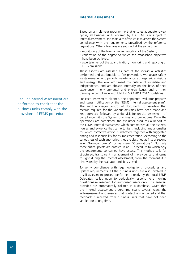### **Internal assessment**

Based on a multi-year programme that ensures adequate review cycles, all business units covered by the EEMS are subject to internal assessment, the main aim of which is to assess the System compliance with the requirements prescribed by the reference regulations. Other objectives are satisfied at the same time:

- monitoring of the level of implementation of the System;
- verification of the degree to which the established objectives have been achieved;
- ascertainment of the quantification, monitoring and reporting of GHG emissions.

These aspects are assessed as part of the individual activities performed and attributable to fire prevention, workplace safety, waste management, periodic maintenance, atmospheric emissions and energy. The evaluator meet the criteria of expertise and independence, and are chosen internally on the basis of their experience in environmental and energy issues and of their training, in compliance with UNI EN ISO 19011:2012 guidelines.

For each assessment planned, the appointed evaluator prepares and issues notification of the "EEMS internal assessment plan". The audit envisages control of documents to ascertain that records required for the various activities have been made and kept correctly, followed by a site visit for on-site assessment of compliance with the System practices and procedures. Once the operations are completed, the evaluator produces a Report of the EEMS internal assessment which summarises all the aspects, figures and evidence that came to light, including any anomalies for which corrective action is indicated, together with suggested timing and responsibility for its implementation. According to the seriousness of such anomalies, they are classified as first or second level "Non-conformity" or as mere "Observations". Normally these critical points are entered in an IT procedure to which only the departments concerned have access. This method calls for structured, transparent management of the evidence that came to light during the internal assessment, from the moment it is discovered by the evaluator until it is solved.

To verify compliance with legal obligations, procedures and System requirements, all the business units are also involved in a self-assessment process performed directly by the local EEMS Delegates, called upon to periodically respond to an online questionnaire reserved for authorised users only. The answers provided are automatically collated in a database. Given that the internal assessment programme spans several years, the self-assessment also ensures that contact is maintained and that feedback is received from business units that have not been verified for a long time.

Regular internal assessment are performed to check that the business units comply with the provisions of EEMS procedure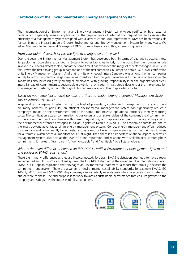# **Certification of the Environmental and Energy Management System**

The implementation of an Environmental and Energy Management System can envisage certification by an external body which impartially ensures application of the requirements of international regulations and assesses the efficiency of a management system designed with a view to continuous improvement. DNV has been responsible for certifying the Intesa Sanpaolo Group's Environmental and Energy Management System for many years. We asked Massimo Berlin, General Manager of DNV Business Assurance in Italy, a series of questions.

#### *From your point of view, how has the System changed over the years?*

Over the years the Environmental Management System has developed both in terms of size and structure. Intesa Sanpaolo has successfully expanded its System to other branches in Italy to the point that the number initially involved in 2005 has almost tripled, and at the same time it has expanded the range of aspects managed. In 2012, in fact, it was the first banking group in Italy and one of the first companies in Europe to obtain ISO 50001 certification of its Energy Management System. And that isn't its only record. Intesa Sanpaolo was among the first companies in Italy to verify the greenhouse gas emissions inventory. Over the years, awareness to the issue of environmental impact has also increased greatly among all employees, with growing responsibility in all the organisational areas. Intesa Sanpaolo's commitment to sustainable growth is not only seen in its strategic decisions or the implementation of management systems, but also through its human resources and their day-to-day activities.

#### *Based on your experience, what benefits are there to implementing a certified Management System, also in competitive terms?*

In general, a management system acts at the level of prevention, control and management of risks and there are many benefits. In particular, an efficient environmental management system can significantly reduce a company's impact on the environment and at the same time increase operational efficiency, thereby reducing costs. The certification acts as confirmation to customers and all stakeholders of the company's real commitment to the environment and compliance with current regulations, and represents a means of safeguarding against the environmental offences envisaged in Italian Legislative Decree 231/2001. The economic benefits are one of the most obvious advantages of an energy management system. Correct energy management offers reduced consumption and consequently lower costs, also as a result of even simple measures such as the use of timers for automatic switch-off of all monitors or PCs at night. Then there is an important relational aspect. A certified management system also acts at the level of brand reputation and relations with stakeholders. It strengthens commitment. It makes it "transparent", "demonstrable" and "verifiable" by all stakeholders.

#### *What is the main difference between an ISO 14001-certified Environmental Management System and one subject to EMAS registration?*

There aren't many differences as they are interconnected. To obtain EMAS registration you need to have already implemented an ISO 14001-compliant system. The ISO 14001 standard is the driver and it is internationally valid. EMAS is a European regulation that envisages an Environmental Statement, a report that publicly discloses the commitment undertaken. There are a variety of environmental sustainability standards, for example EMAS, ISO 14001, ISO 14064 and ISO 50001. Any company can voluntarily refer its particular characteristics and strategy to one or more of these. The end purpose is to work towards a sustainable performance that ensures growth to the company and safeguards the interests of all stakeholders.

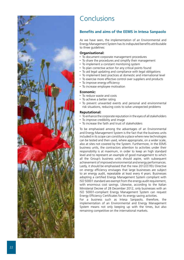

# Conclusions

# **Benefits and aims of the EEMS in Intesa Sanpaolo**

As we have seen, the implementation of an Environmental and Energy Management System has its indisputed benefits attributable to three guidelines:

### **Organisational:**

- To document corporate management procedures
- To share the procedures and simplify their management
- To implement a constant monitoring system
- To plan corrective action for any critical points found
- To aid legal updating and compliance with legal obligations
- To implement best practices at domestic and international level
- To exercise more effective control over suppliers and products
- To improve energy efficiency
- To increase employee motivation

#### **Economic:**

- To reduce waste and costs
- To achieve a better rating
- To prevent unwanted events and personal and environmental risk situations, reducing costs to solve unexpected problems

#### **Reputational:**

- To enhance the corporate reputation in the eyes of all stakeholders
- To improve credibility and image
- To increase the faith and trust of stakeholders

To be emphasised among the advantages of an Environmental and Energy Management System is the fact that the business units included in its scope can constitute a place where new technologies can be tested and then used, where appropriate, on a wider scale, also at sites not covered by the System. Furthermore, in the EEMS business units, the contractors attention to activities under their responsibility is at maximum, in order to keep an high standard level and to represent an example of good management to which all the Group's business units should aspire, with subsequent achievement of improved environmental and energy performances. Lastly, it should be emphasised that the new 2012/27/EU Directive on energy efficiency envisages that large businesses are subject to an energy audit, repeatable at least every 4 years. Businesses adopting a certified Energy Management System compliant with ISO 50001 standard are exempt from the energy audit requirement, with enormous cost savings. Likewise, according to the Italian Ministerial Decree of 28 December 2012, only businesses with an ISO 50001-compliant Energy Management System can request Energy Efficiency Certificates for its energy saving activities.

For a business such as Intesa Sanpaolo, therefore, the implementation of an Environmental and Energy Management System means not only keeping up with the times, but also remaining competitive on the international markets.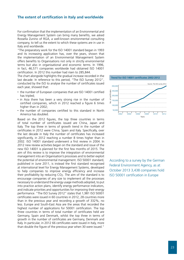#### **The extent of certification in Italy and worldwide**

For confirmation that the implementation of an Environmental and Energy Management System can bring many benefits, we asked Rossella Zunino of RGA, a well-known environmental consulting company, to tell us the extent to which these systems are in use in Italy and worldwide.

"The preparatory work for the ISO 14001 standard began in 1993 and its increasing application has, over the years, shown that the implementation of an Environmental Management System offers benefits to Organisations not only in strictly environmental terms but also in organisational and economic terms. In 1996, in fact, 46,571 companies worldwide had obtained ISO 14001 certification. In 2012 this number had risen to 285,844.

The chart alongside highlights the gradual increase recorded in the last decade. In reference to this period, "The ISO Survey 2012", conducted by the ISO to analyse the number of certificates issued each year, showed that:

- the number of European companies that are ISO 14001 certified has tripled;
- in Asia there has been a very strong rise in the number of certified companies, which in 2012 reached a figure 6 times higher than in 2002;
- the number of companies certified to this standard in North America has doubled.

Based on the 2012 figures, the top three countries in terms of total number of certificates issued are China, Japan and Italy. The top three in terms of growth trend in the number of certificates in 2012 were China, Spain and Italy. Specifically, over the last decade in Italy the number of certificates has increased significantly, in 2012 reaching a number 8 times higher than in 2002. ISO 14001 standard underwent a first review in 2004. In 2012 new review activities began on the standard and issue of the new ISO 14001 is planned for the first few months of 2015. The aim of this review is to improve the integration of environmental management into an Organisation's processes and to better exploit the potential of environmental management. ISO 50001 standard, published in June 2011, is instead the first standard recognised at international level for Energy Management Systems, developed to help companies to improve energy efficiency and increase their profitability by reducing CO2. The aim of the standard is to encourage companies of any size to implement all the processes necessary to understand the energy usage methods adopted, to put into practice action plans, identify energy performance indicators, and indicate priorities and opportunities for improving their energy performance. "The ISO Survey 2012" states that 1,981 ISO 50001 certificates were issued in 60 countries in 2012, 28 countries more than in the previous year and recording a growth of 332%, no less. Europe and South-East Asia are the areas that recorded the highest number of applications for 50001 certification. The top three countries in terms of total number of certificates held are Germany, Spain and Denmark, whilst the top three in terms of growth in the number of certificates are Germany, Denmark and Italy. In particular, in 2012 66 certificates were issued in Italy, more than double the figure of the previous year when 30 were issued."



According to a survey by the German Federal Environment Agency, as at October 2013 3,438 companies hold